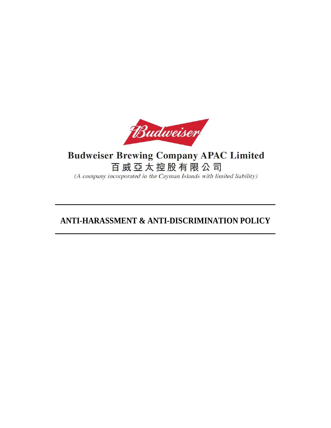

# **Budweiser Brewing Company APAC Limited** 百威亞太控股有限公司

(A company incorporated in the Cayman Islands with limited liability)

# **ANTI-HARASSMENT & ANTI-DISCRIMINATION POLICY \_\_\_\_\_\_\_\_\_\_\_\_\_\_\_\_\_\_\_\_\_\_\_\_\_\_\_\_\_\_\_\_\_\_\_\_\_\_\_\_\_**

**\_\_\_\_\_\_\_\_\_\_\_\_\_\_\_\_\_\_\_\_\_\_\_\_\_\_\_\_\_\_\_\_\_\_\_\_\_\_\_\_\_**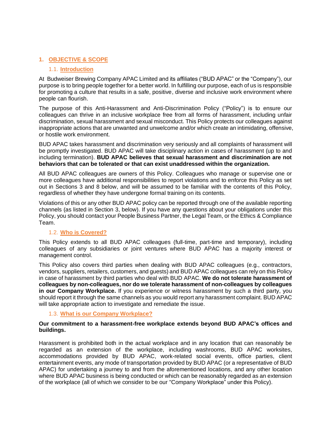# **1. OBJECTIVE & SCOPE**

#### 1.1. **Introduction**

At Budweiser Brewing Company APAC Limited and its affiliates ("BUD APAC" or the "Company"), our purpose is to bring people together for a better world. In fulfilling our purpose, each of us is responsible for promoting a culture that results in a safe, positive, diverse and inclusive work environment where people can flourish.

The purpose of this Anti-Harassment and Anti-Discrimination Policy ("Policy") is to ensure our colleagues can thrive in an inclusive workplace free from all forms of harassment, including unfair discrimination, sexual harassment and sexual misconduct. This Policy protects our colleagues against inappropriate actions that are unwanted and unwelcome and/or which create an intimidating, offensive, or hostile work environment.

BUD APAC takes harassment and discrimination very seriously and all complaints of harassment will be promptly investigated. BUD APAC will take disciplinary action in cases of harassment (up to and including termination). **BUD APAC believes that sexual harassment and discrimination are not behaviors that can be tolerated or that can exist unaddressed within the organization.** 

All BUD APAC colleagues are owners of this Policy. Colleagues who manage or supervise one or more colleagues have additional responsibilities to report violations and to enforce this Policy as set out in Sections 3 and 8 below, and will be assumed to be familiar with the contents of this Policy, regardless of whether they have undergone formal training on its contents.

Violations of this or any other BUD APAC policy can be reported through one of the available reporting channels (as listed in Section 3, below). If you have any questions about your obligations under this Policy, you should contact your People Business Partner, the Legal Team, or the Ethics & Compliance Team.

# 1.2. **Who is Covered?**

This Policy extends to all BUD APAC colleagues (full-time, part-time and temporary), including colleagues of any subsidiaries or joint ventures where BUD APAC has a majority interest or management control.

This Policy also covers third parties when dealing with BUD APAC colleagues (e.g., contractors, vendors, suppliers, retailers, customers, and guests) and BUD APAC colleagues can rely on this Policy in case of harassment by third parties who deal with BUD APAC. **We do not tolerate harassment of colleagues by non-colleagues, nor do we tolerate harassment of non-colleagues by colleagues in our Company Workplace.** If you experience or witness harassment by such a third party, you should report it through the same channels as you would report any harassment complaint. BUD APAC will take appropriate action to investigate and remediate the issue.

# 1.3. **What is our Company Workplace?**

#### **Our commitment to a harassment-free workplace extends beyond BUD APAC's offices and buildings.**

Harassment is prohibited both in the actual workplace and in any location that can reasonably be regarded as an extension of the workplace, including washrooms, BUD APAC worksites, accommodations provided by BUD APAC, work-related social events, office parties, client entertainment events, any mode of transportation provided by BUD APAC (or a representative of BUD APAC) for undertaking a journey to and from the aforementioned locations, and any other location where BUD APAC business is being conducted or which can be reasonably regarded as an extension of the workplace (all of which we consider to be our "Company Workplace" under this Policy).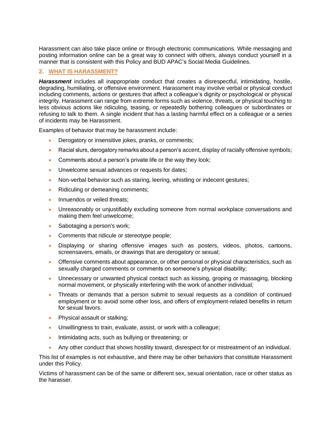Harassment can also take place online or through electronic communications. While messaging and posting information online can be a great way to connect with others, always conduct yourself in a manner that is consistent with this Policy and BUD APAC's Social Media Guidelines.

# **2. WHAT IS HARASSMENT?**

*Harassment* includes all inappropriate conduct that creates a disrespectful, intimidating, hostile, degrading, humiliating, or offensive environment. Harassment may involve verbal or physical conduct including comments, actions or gestures that affect a colleague's dignity or psychological or physical integrity. Harassment can range from extreme forms such as violence, threats, or physical touching to less obvious actions like ridiculing, teasing, or repeatedly bothering colleagues or subordinates or refusing to talk to them. A single incident that has a lasting harmful effect on a colleague or a series of incidents may be Harassment.

Examples of behavior that may be harassment include:

- Derogatory or insensitive jokes, pranks, or comments;
- Racial slurs, derogatory remarks about a person's accent, display of racially offensive symbols;
- Comments about a person's private life or the way they look;
- Unwelcome sexual advances or requests for dates;
- Non-verbal behavior such as staring, leering, whistling or indecent gestures;
- Ridiculing or demeaning comments;
- Innuendos or veiled threats;
- Unreasonably or unjustifiably excluding someone from normal workplace conversations and making them feel unwelcome;
- Sabotaging a person's work;
- Comments that ridicule or stereotype people;
- Displaying or sharing offensive images such as posters, videos, photos, cartoons, screensavers, emails, or drawings that are derogatory or sexual;
- Offensive comments about appearance, or other personal or physical characteristics, such as sexually charged comments or comments on someone's physical disability;
- Unnecessary or unwanted physical contact such as kissing, groping or massaging, blocking normal movement, or physically interfering with the work of another individual;
- Threats or demands that a person submit to sexual requests as a condition of continued employment or to avoid some other loss, and offers of employment-related benefits in return for sexual favors.
- Physical assault or stalking;
- Unwillingness to train, evaluate, assist, or work with a colleague;
- Intimidating acts, such as bullying or threatening; or
- Any other conduct that shows hostility toward, disrespect for or mistreatment of an individual.

This list of examples is not exhaustive, and there may be other behaviors that constitute Harassment under this Policy.

Victims of harassment can be of the same or different sex, sexual orientation, race or other status as the harasser.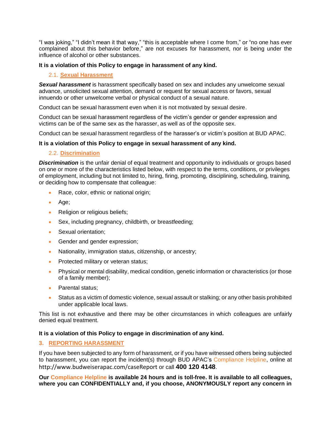"I was joking," "I didn't mean it that way," "this is acceptable where I come from," or "no one has ever complained about this behavior before," are not excuses for harassment, nor is being under the influence of alcohol or other substances.

# **It is a violation of this Policy to engage in harassment of any kind.**

# 2.1. **Sexual Harassment**

**Sexual harassment** is harassment specifically based on sex and includes any unwelcome sexual advance, unsolicited sexual attention, demand or request for sexual access or favors, sexual innuendo or other unwelcome verbal or physical conduct of a sexual nature.

Conduct can be sexual harassment even when it is not motivated by sexual desire.

Conduct can be sexual harassment regardless of the victim's gender or gender expression and victims can be of the same sex as the harasser, as well as of the opposite sex.

Conduct can be sexual harassment regardless of the harasser's or victim's position at BUD APAC.

# **It is a violation of this Policy to engage in sexual harassment of any kind.**

#### 2.2. **Discrimination**

*Discrimination* is the unfair denial of equal treatment and opportunity to individuals or groups based on one or more of the characteristics listed below, with respect to the terms, conditions, or privileges of employment, including but not limited to, hiring, firing, promoting, disciplining, scheduling, training, or deciding how to compensate that colleague:

- Race, color, ethnic or national origin;
- Age;
- Religion or religious beliefs;
- Sex, including pregnancy, childbirth, or breastfeeding;
- Sexual orientation;
- Gender and gender expression;
- Nationality, immigration status, citizenship, or ancestry;
- Protected military or veteran status;
- Physical or mental disability, medical condition, genetic information or characteristics (or those of a family member);
- Parental status;
- Status as a victim of domestic violence, sexual assault or stalking; or any other basis prohibited under applicable local laws.

This list is not exhaustive and there may be other circumstances in which colleagues are unfairly denied equal treatment.

#### **It is a violation of this Policy to engage in discrimination of any kind.**

# **3. REPORTING HARASSMENT**

If you have been subjected to any form of harassment, or if you have witnessed others being subjected to harassment, you can report the incident(s) through BUD APAC's Compliance Helpline, online at http://www.budweiserapac.com/caseReport or call **400 120 4148**.

**Our Compliance Helpline is available 24 hours and is toll-free. It is available to all colleagues, where you can CONFIDENTIALLY and, if you choose, ANONYMOUSLY report any concern in**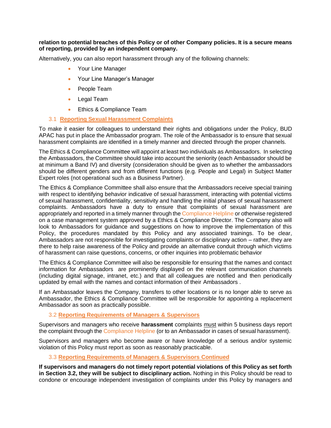#### **relation to potential breaches of this Policy or of other Company policies. It is a secure means of reporting, provided by an independent company.**

Alternatively, you can also report harassment through any of the following channels:

- Your Line Manager
- Your Line Manager's Manager
- People Team
- Legal Team
- Ethics & Compliance Team

#### 3.1 **Reporting Sexual Harassment Complaints**

To make it easier for colleagues to understand their rights and obligations under the Policy, BUD APAC has put in place the Ambassador program. The role of the Ambassador is to ensure that sexual harassment complaints are identified in a timely manner and directed through the proper channels.

The Ethics & Compliance Committee will appoint at least two individuals as Ambassadors. In selecting the Ambassadors, the Committee should take into account the seniority (each Ambassador should be at minimum a Band IV) and diversity (consideration should be given as to whether the ambassadors should be different genders and from different functions (e.g. People and Legal) in Subject Matter Expert roles (not operational such as a Business Partner).

The Ethics & Compliance Committee shall also ensure that the Ambassadors receive special training with respect to identifying behavior indicative of sexual harassment, interacting with potential victims of sexual harassment, confidentiality, sensitivity and handling the initial phases of sexual harassment complaints. Ambassadors have a duty to ensure that complaints of sexual harassment are appropriately and reported in a timely manner through the Compliance Helpline or otherwise registered on a case management system approved by a Ethics & Compliance Director. The Company also will look to Ambassadors for quidance and suggestions on how to improve the implementation of this Policy, the procedures mandated by this Policy and any associated trainings. To be clear, Ambassadors are not responsible for investigating complaints or disciplinary action – rather, they are there to help raise awareness of the Policy and provide an alternative conduit through which victims of harassment can raise questions, concerns, or other inquiries into problematic behavior

The Ethics & Compliance Committee will also be responsible for ensuring that the names and contact information for Ambassadors are prominently displayed on the relevant communication channels (including digital signage, intranet, etc.) and that all colleagues are notified and then periodically updated by email with the names and contact information of their Ambassadors .

If an Ambassador leaves the Company, transfers to other locations or is no longer able to serve as Ambassador, the Ethics & Compliance Committee will be responsible for appointing a replacement Ambassador as soon as practically possible.

### 3.2 **Reporting Requirements of Managers & Supervisors**

Supervisors and managers who receive **harassment** complaints must within 5 business days report the complaint through the Compliance Helpline (or to an Ambassador in cases of sexual harassment).

Supervisors and managers who become aware or have knowledge of a serious and/or systemic violation of this Policy must report as soon as reasonably practicable.

# 3.3 **Reporting Requirements of Managers & Supervisors Continued**

**If supervisors and managers do not timely report potential violations of this Policy as set forth in Section 3.2, they will be subject to disciplinary action.** Nothing in this Policy should be read to condone or encourage independent investigation of complaints under this Policy by managers and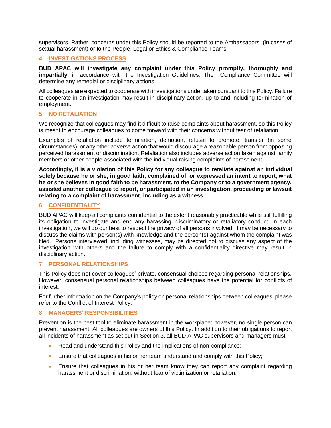supervisors. Rather, concerns under this Policy should be reported to the Ambassadors (in cases of sexual harassment) or to the People, Legal or Ethics & Compliance Teams.

# **4. INVESTIGATIONS PROCESS**

**BUD APAC will investigate any complaint under this Policy promptly, thoroughly and impartially**, in accordance with the Investigation Guidelines. The Compliance Committee will determine any remedial or disciplinary actions.

All colleagues are expected to cooperate with investigations undertaken pursuant to this Policy. Failure to cooperate in an investigation may result in disciplinary action, up to and including termination of employment.

# **5. NO RETALIATION**

We recognize that colleagues may find it difficult to raise complaints about harassment, so this Policy is meant to encourage colleagues to come forward with their concerns without fear of retaliation.

Examples of retaliation include termination, demotion, refusal to promote, transfer (in some circumstances), or any other adverse action that would discourage a reasonable person from opposing perceived harassment or discrimination. Retaliation also includes adverse action taken against family members or other people associated with the individual raising complaints of harassment.

**Accordingly, it is a violation of this Policy for any colleague to retaliate against an individual solely because he or she, in good faith, complained of, or expressed an intent to report, what he or she believes in good faith to be harassment, to the Company or to a government agency, assisted another colleague to report, or participated in an investigation, proceeding or lawsuit relating to a complaint of harassment, including as a witness.**

# **6. CONFIDENTIALITY**

BUD APAC will keep all complaints confidential to the extent reasonably practicable while still fulfilling its obligation to investigate and end any harassing, discriminatory or retaliatory conduct. In each investigation, we will do our best to respect the privacy of all persons involved. It may be necessary to discuss the claims with person(s) with knowledge and the person(s) against whom the complaint was filed. Persons interviewed, including witnesses, may be directed not to discuss any aspect of the investigation with others and the failure to comply with a confidentiality directive may result in disciplinary action.

# **7. PERSONAL RELATIONSHIPS**

This Policy does not cover colleagues' private, consensual choices regarding personal relationships. However, consensual personal relationships between colleagues have the potential for conflicts of interest.

For further information on the Company's policy on personal relationships between colleagues, please refer to the Conflict of Interest Policy.

# **8. MANAGERS' RESPONSIBILITIES**

Prevention is the best tool to eliminate harassment in the workplace; however, no single person can prevent harassment. All colleagues are owners of this Policy. In addition to their obligations to report all incidents of harassment as set out in Section 3, all BUD APAC supervisors and managers must:

- Read and understand this Policy and the implications of non-compliance;
- Ensure that colleagues in his or her team understand and comply with this Policy;
- Ensure that colleagues in his or her team know they can report any complaint regarding harassment or discrimination, without fear of victimization or retaliation;